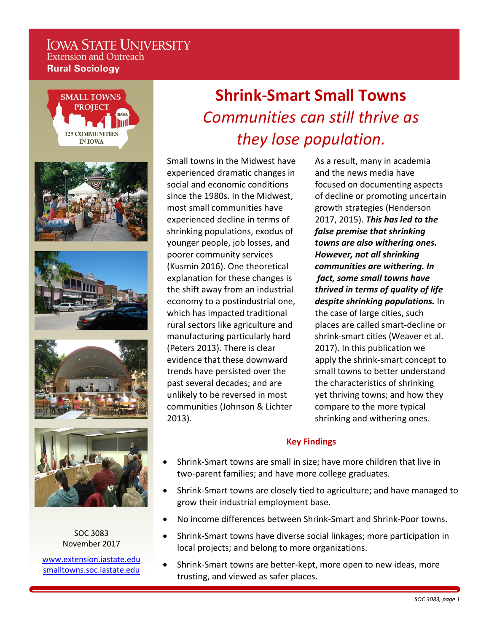# **IOWA STATE UNIVERSITY Extension and Outreach Rural Sociology**



SOC 3083 November 2017

[www.extension.iastate.edu](http://www.extension.iastate.edu/) [smalltowns.soc.iastate.edu](http://smalltowns.soc.iastate.edu/)

# **Shrink-Smart Small Towns**  *Communities can still thrive as they lose population.*

Small towns in the Midwest have experienced dramatic changes in social and economic conditions since the 1980s. In the Midwest, most small communities have experienced decline in terms of shrinking populations, exodus of younger people, job losses, and poorer community services (Kusmin 2016). One theoretical explanation for these changes is the shift away from an industrial economy to a postindustrial one, which has impacted traditional rural sectors like agriculture and manufacturing particularly hard (Peters 2013). There is clear evidence that these downward trends have persisted over the past several decades; and are unlikely to be reversed in most communities (Johnson & Lichter 2013).

As a result, many in academia and the news media have focused on documenting aspects of decline or promoting uncertain growth strategies (Henderson 2017, 2015). *This has led to the false premise that shrinking towns are also withering ones. However, not all shrinking communities are withering. In fact, some small towns have thrived in terms of quality of life despite shrinking populations.* In the case of large cities, such places are called smart-decline or shrink-smart cities (Weaver et al. 2017). In this publication we apply the shrink-smart concept to small towns to better understand the characteristics of shrinking yet thriving towns; and how they compare to the more typical shrinking and withering ones.

# **Key Findings**

- Shrink-Smart towns are small in size; have more children that live in two-parent families; and have more college graduates.
- Shrink-Smart towns are closely tied to agriculture; and have managed to grow their industrial employment base.
- No income differences between Shrink-Smart and Shrink-Poor towns.
- Shrink-Smart towns have diverse social linkages; more participation in local projects; and belong to more organizations.
- Shrink-Smart towns are better-kept, more open to new ideas, more trusting, and viewed as safer places.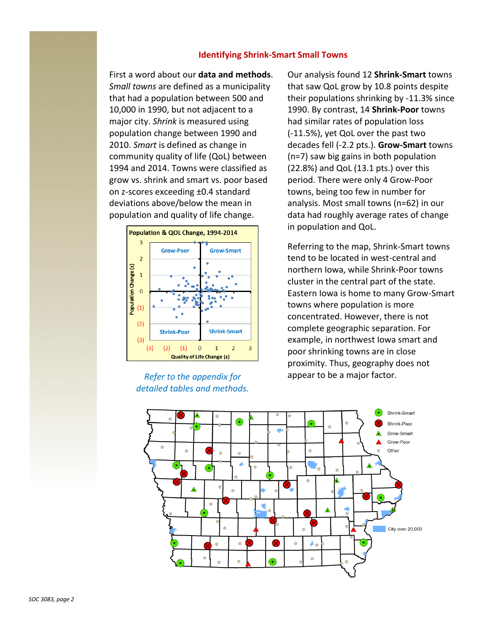# **Identifying Shrink-Smart Small Towns**

First a word about our **data and methods**. *Small towns* are defined as a municipality that had a population between 500 and 10,000 in 1990, but not adjacent to a major city. *Shrink* is measured using population change between 1990 and 2010. *Smart* is defined as change in community quality of life (QoL) between 1994 and 2014. Towns were classified as grow vs. shrink and smart vs. poor based on z-scores exceeding ±0.4 standard deviations above/below the mean in population and quality of life change.



*Refer to the appendix for detailed tables and methods.* Our analysis found 12 **Shrink-Smart** towns that saw QoL grow by 10.8 points despite their populations shrinking by -11.3% since 1990. By contrast, 14 **Shrink-Poor** towns had similar rates of population loss (-11.5%), yet QoL over the past two decades fell (-2.2 pts.). **Grow-Smart** towns (n=7) saw big gains in both population (22.8%) and QoL (13.1 pts.) over this period. There were only 4 Grow-Poor towns, being too few in number for analysis. Most small towns (n=62) in our data had roughly average rates of change in population and QoL.

Referring to the map, Shrink-Smart towns tend to be located in west-central and northern Iowa, while Shrink-Poor towns cluster in the central part of the state. Eastern Iowa is home to many Grow-Smart towns where population is more concentrated. However, there is not complete geographic separation. For example, in northwest Iowa smart and poor shrinking towns are in close proximity. Thus, geography does not appear to be a major factor*.*

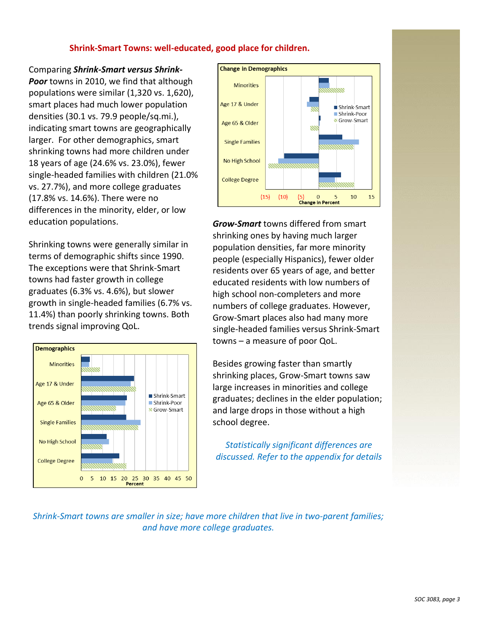# **Shrink-Smart Towns: well-educated, good place for children.**

## Comparing *Shrink-Smart versus Shrink-*

*Poor* towns in 2010, we find that although populations were similar (1,320 vs. 1,620), smart places had much lower population densities (30.1 vs. 79.9 people/sq.mi.), indicating smart towns are geographically larger. For other demographics, smart shrinking towns had more children under 18 years of age (24.6% vs. 23.0%), fewer single-headed families with children (21.0% vs. 27.7%), and more college graduates (17.8% vs. 14.6%). There were no differences in the minority, elder, or low education populations.

Shrinking towns were generally similar in terms of demographic shifts since 1990. The exceptions were that Shrink-Smart towns had faster growth in college graduates (6.3% vs. 4.6%), but slower growth in single-headed families (6.7% vs. 11.4%) than poorly shrinking towns. Both trends signal improving QoL.





*Grow-Smart* towns differed from smart shrinking ones by having much larger population densities, far more minority people (especially Hispanics), fewer older residents over 65 years of age, and better educated residents with low numbers of high school non-completers and more numbers of college graduates. However, Grow-Smart places also had many more single-headed families versus Shrink-Smart towns – a measure of poor QoL.

Besides growing faster than smartly shrinking places, Grow-Smart towns saw large increases in minorities and college graduates; declines in the elder population; and large drops in those without a high school degree.

*Statistically significant differences are discussed. Refer to the appendix for details*

*Shrink-Smart towns are smaller in size; have more children that live in two-parent families; and have more college graduates.*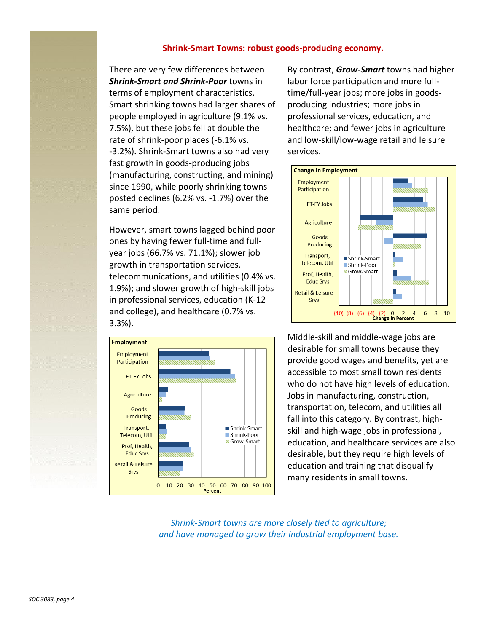# **Shrink-Smart Towns: robust goods-producing economy.**

There are very few differences between *Shrink-Smart and Shrink-Poor* towns in terms of employment characteristics. Smart shrinking towns had larger shares of people employed in agriculture (9.1% vs. 7.5%), but these jobs fell at double the rate of shrink-poor places (-6.1% vs. -3.2%). Shrink-Smart towns also had very fast growth in goods-producing jobs (manufacturing, constructing, and mining) since 1990, while poorly shrinking towns posted declines (6.2% vs. -1.7%) over the same period.

However, smart towns lagged behind poor ones by having fewer full-time and fullyear jobs (66.7% vs. 71.1%); slower job growth in transportation services, telecommunications, and utilities (0.4% vs. 1.9%); and slower growth of high-skill jobs in professional services, education (K-12 and college), and healthcare (0.7% vs. 3.3%).



By contrast, *Grow-Smart* towns had higher labor force participation and more fulltime/full-year jobs; more jobs in goodsproducing industries; more jobs in professional services, education, and healthcare; and fewer jobs in agriculture and low-skill/low-wage retail and leisure services.



Middle-skill and middle-wage jobs are desirable for small towns because they provide good wages and benefits, yet are accessible to most small town residents who do not have high levels of education. Jobs in manufacturing, construction, transportation, telecom, and utilities all fall into this category. By contrast, highskill and high-wage jobs in professional, education, and healthcare services are also desirable, but they require high levels of education and training that disqualify many residents in small towns.

*Shrink-Smart towns are more closely tied to agriculture; and have managed to grow their industrial employment base.*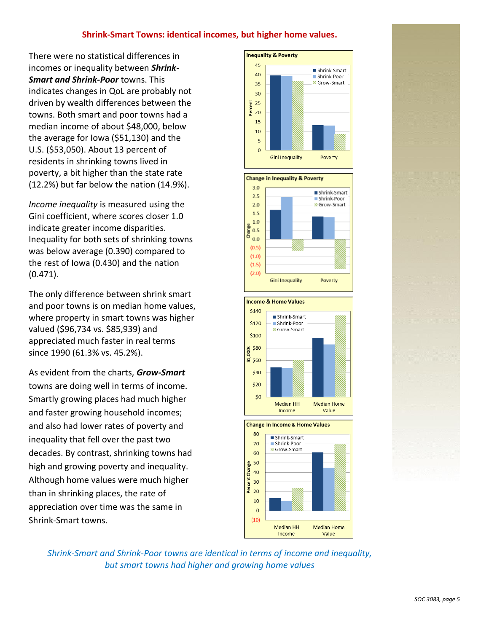# **Shrink-Smart Towns: identical incomes, but higher home values.**

There were no statistical differences in incomes or inequality between *Shrink-Smart and Shrink-Poor* towns. This indicates changes in QoL are probably not driven by wealth differences between the towns. Both smart and poor towns had a median income of about \$48,000, below the average for Iowa (\$51,130) and the U.S. (\$53,050). About 13 percent of residents in shrinking towns lived in poverty, a bit higher than the state rate (12.2%) but far below the nation (14.9%).

*Income inequality* is measured using the Gini coefficient, where scores closer 1.0 indicate greater income disparities. Inequality for both sets of shrinking towns was below average (0.390) compared to the rest of Iowa (0.430) and the nation (0.471).

The only difference between shrink smart and poor towns is on median home values, where property in smart towns was higher valued (\$96,734 vs. \$85,939) and appreciated much faster in real terms since 1990 (61.3% vs. 45.2%).

As evident from the charts, *Grow-Smart* towns are doing well in terms of income. Smartly growing places had much higher and faster growing household incomes; and also had lower rates of poverty and inequality that fell over the past two decades. By contrast, shrinking towns had high and growing poverty and inequality. Although home values were much higher than in shrinking places, the rate of appreciation over time was the same in Shrink-Smart towns.



*Shrink-Smart and Shrink-Poor towns are identical in terms of income and inequality, but smart towns had higher and growing home values*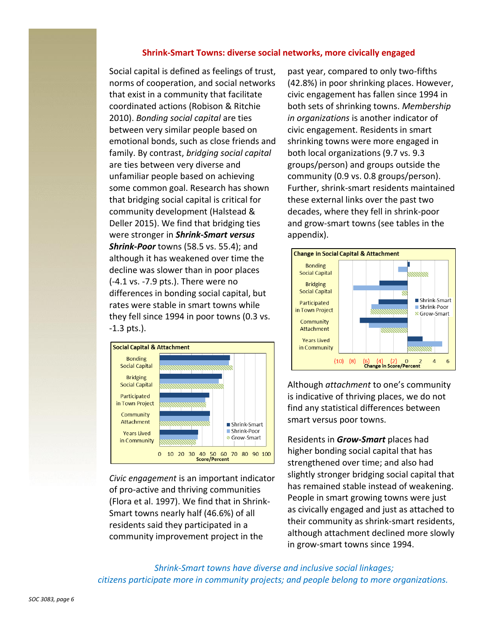# **Shrink-Smart Towns: diverse social networks, more civically engaged**

Social capital is defined as feelings of trust, norms of cooperation, and social networks that exist in a community that facilitate coordinated actions (Robison & Ritchie 2010). *Bonding social capital* are ties between very similar people based on emotional bonds, such as close friends and family. By contrast, *bridging social capital* are ties between very diverse and unfamiliar people based on achieving some common goal. Research has shown that bridging social capital is critical for community development (Halstead & Deller 2015). We find that bridging ties were stronger in *Shrink-Smart versus Shrink-Poor* towns (58.5 vs. 55.4); and although it has weakened over time the decline was slower than in poor places (-4.1 vs. -7.9 pts.). There were no differences in bonding social capital, but rates were stable in smart towns while they fell since 1994 in poor towns (0.3 vs. -1.3 pts.).



*Civic engagement* is an important indicator of pro-active and thriving communities (Flora et al. 1997). We find that in Shrink-Smart towns nearly half (46.6%) of all residents said they participated in a community improvement project in the

past year, compared to only two-fifths (42.8%) in poor shrinking places. However, civic engagement has fallen since 1994 in both sets of shrinking towns. *Membership in organizations* is another indicator of civic engagement. Residents in smart shrinking towns were more engaged in both local organizations (9.7 vs. 9.3 groups/person) and groups outside the community (0.9 vs. 0.8 groups/person). Further, shrink-smart residents maintained these external links over the past two decades, where they fell in shrink-poor and grow-smart towns (see tables in the appendix).



Although *attachment* to one's community is indicative of thriving places, we do not find any statistical differences between smart versus poor towns.

Residents in *Grow-Smart* places had higher bonding social capital that has strengthened over time; and also had slightly stronger bridging social capital that has remained stable instead of weakening. People in smart growing towns were just as civically engaged and just as attached to their community as shrink-smart residents, although attachment declined more slowly in grow-smart towns since 1994.

 *Shrink-Smart towns have diverse and inclusive social linkages; citizens participate more in community projects; and people belong to more organizations.*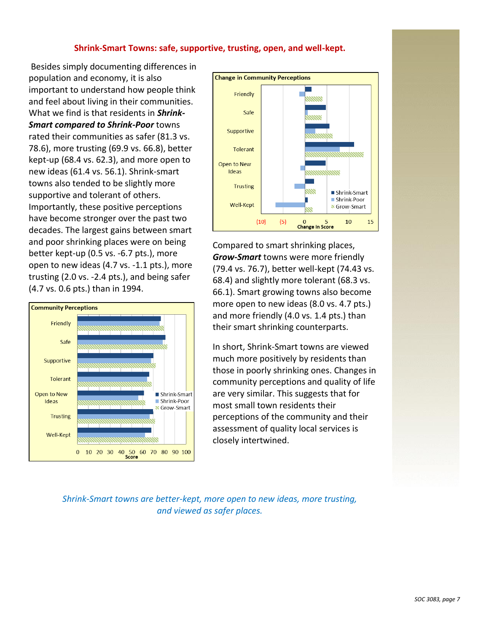# **Shrink-Smart Towns: safe, supportive, trusting, open, and well-kept.**

Besides simply documenting differences in population and economy, it is also important to understand how people think and feel about living in their communities. What we find is that residents in *Shrink-Smart compared to Shrink-Poor* towns rated their communities as safer (81.3 vs. 78.6), more trusting (69.9 vs. 66.8), better kept-up (68.4 vs. 62.3), and more open to new ideas (61.4 vs. 56.1). Shrink-smart towns also tended to be slightly more supportive and tolerant of others. Importantly, these positive perceptions have become stronger over the past two decades. The largest gains between smart and poor shrinking places were on being better kept-up (0.5 vs. -6.7 pts.), more open to new ideas (4.7 vs. -1.1 pts.), more trusting (2.0 vs. -2.4 pts.), and being safer (4.7 vs. 0.6 pts.) than in 1994.





Compared to smart shrinking places, *Grow-Smart* towns were more friendly (79.4 vs. 76.7), better well-kept (74.43 vs. 68.4) and slightly more tolerant (68.3 vs. 66.1). Smart growing towns also become more open to new ideas (8.0 vs. 4.7 pts.) and more friendly (4.0 vs. 1.4 pts.) than their smart shrinking counterparts.

In short, Shrink-Smart towns are viewed much more positively by residents than those in poorly shrinking ones. Changes in community perceptions and quality of life are very similar. This suggests that for most small town residents their perceptions of the community and their assessment of quality local services is closely intertwined.

*Shrink-Smart towns are better-kept, more open to new ideas, more trusting, and viewed as safer places.*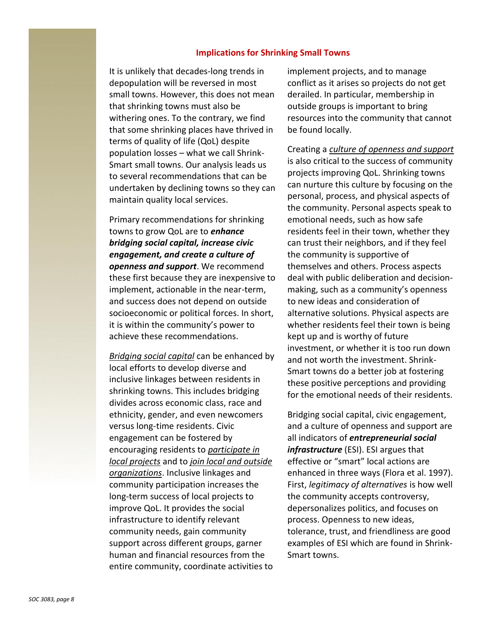#### **Implications for Shrinking Small Towns**

It is unlikely that decades-long trends in depopulation will be reversed in most small towns. However, this does not mean that shrinking towns must also be withering ones. To the contrary, we find that some shrinking places have thrived in terms of quality of life (QoL) despite population losses – what we call Shrink-Smart small towns. Our analysis leads us to several recommendations that can be undertaken by declining towns so they can maintain quality local services.

Primary recommendations for shrinking towns to grow QoL are to *enhance bridging social capital, increase civic engagement, and create a culture of openness and support*. We recommend these first because they are inexpensive to implement, actionable in the near-term, and success does not depend on outside socioeconomic or political forces. In short, it is within the community's power to achieve these recommendations.

*Bridging social capital* can be enhanced by local efforts to develop diverse and inclusive linkages between residents in shrinking towns. This includes bridging divides across economic class, race and ethnicity, gender, and even newcomers versus long-time residents. Civic engagement can be fostered by encouraging residents to *participate in local projects* and to *join local and outside organizations*. Inclusive linkages and community participation increases the long-term success of local projects to improve QoL. It provides the social infrastructure to identify relevant community needs, gain community support across different groups, garner human and financial resources from the entire community, coordinate activities to

implement projects, and to manage conflict as it arises so projects do not get derailed. In particular, membership in outside groups is important to bring resources into the community that cannot be found locally.

Creating a *culture of openness and support* is also critical to the success of community projects improving QoL. Shrinking towns can nurture this culture by focusing on the personal, process, and physical aspects of the community. Personal aspects speak to emotional needs, such as how safe residents feel in their town, whether they can trust their neighbors, and if they feel the community is supportive of themselves and others. Process aspects deal with public deliberation and decisionmaking, such as a community's openness to new ideas and consideration of alternative solutions. Physical aspects are whether residents feel their town is being kept up and is worthy of future investment, or whether it is too run down and not worth the investment. Shrink-Smart towns do a better job at fostering these positive perceptions and providing for the emotional needs of their residents.

Bridging social capital, civic engagement, and a culture of openness and support are all indicators of *entrepreneurial social infrastructure* (ESI). ESI argues that effective or "smart" local actions are enhanced in three ways (Flora et al. 1997). First, *legitimacy of alternatives* is how well the community accepts controversy, depersonalizes politics, and focuses on process. Openness to new ideas, tolerance, trust, and friendliness are good examples of ESI which are found in Shrink-Smart towns.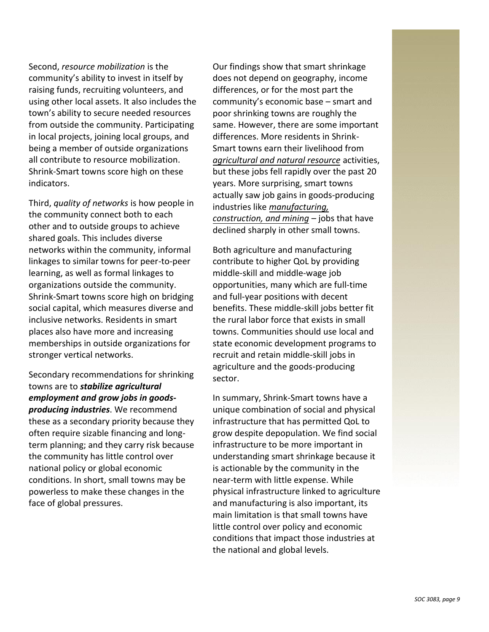Second, *resource mobilization* is the community's ability to invest in itself by raising funds, recruiting volunteers, and using other local assets. It also includes the town's ability to secure needed resources from outside the community. Participating in local projects, joining local groups, and being a member of outside organizations all contribute to resource mobilization. Shrink-Smart towns score high on these indicators.

Third, *quality of networks* is how people in the community connect both to each other and to outside groups to achieve shared goals. This includes diverse networks within the community, informal linkages to similar towns for peer-to-peer learning, as well as formal linkages to organizations outside the community. Shrink-Smart towns score high on bridging social capital, which measures diverse and inclusive networks. Residents in smart places also have more and increasing memberships in outside organizations for stronger vertical networks.

Secondary recommendations for shrinking towns are to *stabilize agricultural employment and grow jobs in goodsproducing industries*. We recommend these as a secondary priority because they often require sizable financing and longterm planning; and they carry risk because the community has little control over national policy or global economic conditions. In short, small towns may be powerless to make these changes in the face of global pressures.

Our findings show that smart shrinkage does not depend on geography, income differences, or for the most part the community's economic base – smart and poor shrinking towns are roughly the same. However, there are some important differences. More residents in Shrink-Smart towns earn their livelihood from *agricultural and natural resource* activities, but these jobs fell rapidly over the past 20 years. More surprising, smart towns actually saw job gains in goods-producing industries like *manufacturing, construction, and mining* – jobs that have declined sharply in other small towns.

Both agriculture and manufacturing contribute to higher QoL by providing middle-skill and middle-wage job opportunities, many which are full-time and full-year positions with decent benefits. These middle-skill jobs better fit the rural labor force that exists in small towns. Communities should use local and state economic development programs to recruit and retain middle-skill jobs in agriculture and the goods-producing sector.

In summary, Shrink-Smart towns have a unique combination of social and physical infrastructure that has permitted QoL to grow despite depopulation. We find social infrastructure to be more important in understanding smart shrinkage because it is actionable by the community in the near-term with little expense. While physical infrastructure linked to agriculture and manufacturing is also important, its main limitation is that small towns have little control over policy and economic conditions that impact those industries at the national and global levels.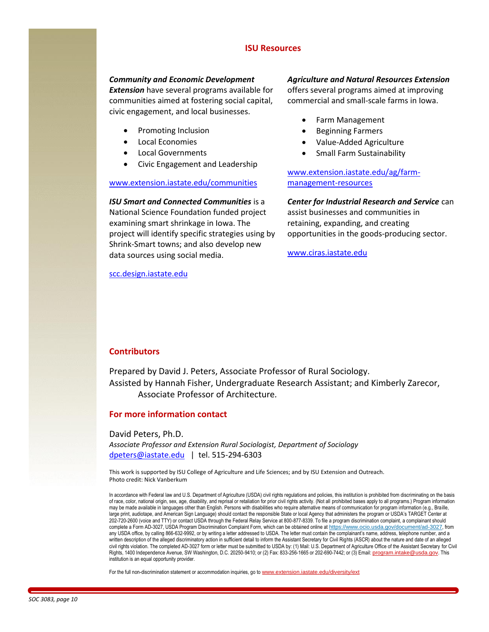# **ISU Resources**

#### *Community and Economic Development*

*Extension* have several programs available for communities aimed at fostering social capital, civic engagement, and local businesses.

- Promoting Inclusion
- Local Economies
- Local Governments
- Civic Engagement and Leadership

#### [www.extension.iastate.edu/communities](http://www.extension.iastate.edu/communities/)

*ISU Smart and Connected Communities* is a National Science Foundation funded project examining smart shrinkage in Iowa. The project will identify specific strategies using by Shrink-Smart towns; and also develop new

[scc.design.iastate.edu](http://scc.design.iastate.edu/)

data sources using social media.

#### *Agriculture and Natural Resources Extension*

offers several programs aimed at improving commercial and small-scale farms in Iowa.

- Farm Management
- Beginning Farmers
- Value-Added Agriculture
- Small Farm Sustainability

[www.extension.iastate.edu/ag/farm](http://www.extension.iastate.edu/ag/farm-management-resources)[management-resources](http://www.extension.iastate.edu/ag/farm-management-resources)

#### *Center for Industrial Research and Service* can

assist businesses and communities in retaining, expanding, and creating opportunities in the goods-producing sector.

[www.ciras.iastate.edu](http://www.ciras.iastate.edu/)

# **Contributors**

Prepared by David J. Peters, Associate Professor of Rural Sociology. Assisted by Hannah Fisher, Undergraduate Research Assistant; and Kimberly Zarecor, Associate Professor of Architecture*.* 

#### **For more information contact**

David Peters, Ph.D.

*Associate Professor and Extension Rural Sociologist, Department of Sociology*  [dpeters@iastate.edu](mailto:dpeters@iastate.edu) | tel. 515-294-6303

This work is supported by ISU College of Agriculture and Life Sciences; and by ISU Extension and Outreach. Photo credit: Nick Vanberkum

In accordance with Federal law and U.S. Department of Agriculture (USDA) civil rights regulations and policies, this institution is prohibited from discriminating on the basis of race, color, national origin, sex, age, disability, and reprisal or retaliation for prior civil rights activity. (Not all prohibited bases apply to all programs.) Program information may be made available in languages other than English. Persons with disabilities who require alternative means of communication for program information (e.g., Braille, large print, audiotape, and American Sign Language) should contact the responsible State or local Agency that administers the program or USDA's TARGET Center at 202-720-2600 (voice and TTY) or contact USDA through the Federal Relay Service at 800-877-8339. To file a program discrimination complaint, a complainant should complete a Form AD-3027, USDA Program Discrimination Complaint Form, which can be obtained online at <https://www.ocio.usda.gov/document/ad-3027>, from any USDA office, by calling 866-632-9992, or by writing a letter addressed to USDA. The letter must contain the complainant's name, address, telephone number, and a written description of the alleged discriminatory action in sufficient detail to inform the Assistant Secretary for Civil Rights (ASCR) about the nature and date of an alleged civil rights violation. The completed AD-3027 form or letter must be submitted to USDA by: (1) Mail: U.S. Department of Agriculture Office of the Assistant Secretary for Civil Rights, 1400 Independence Avenue, SW Washington, D.C. 20250-9410; or (2) Fax: 833-256-1665 or 202-690-7442; or (3) Email: [program.intake@usda.gov](mailto:program.intake@usda.gov). This institution is an equal opportunity provider.

For the full non-discrimination statement or accommodation inquiries, go to [www.extension.iastate.edu/diversity/ext](http://www.extension.iastate.edu/diversity/ext)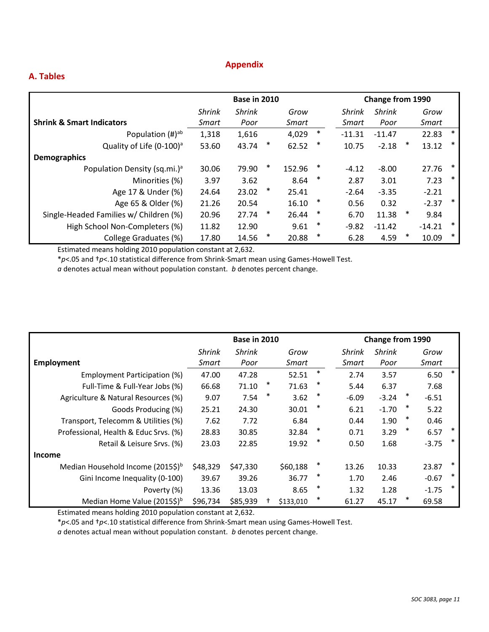# **Appendix**

# **A. Tables**

|                                          | <b>Base in 2010</b> |               |        |        |        | Change from 1990 |               |   |          |        |  |
|------------------------------------------|---------------------|---------------|--------|--------|--------|------------------|---------------|---|----------|--------|--|
|                                          | <b>Shrink</b>       | <b>Shrink</b> |        | Grow   |        | <b>Shrink</b>    | <b>Shrink</b> |   | Grow     |        |  |
| <b>Shrink &amp; Smart Indicators</b>     | Smart               | Poor          |        | Smart  |        | Smart            | Poor          |   | Smart    |        |  |
| Population $(H)ab$                       | 1,318               | 1,616         |        | 4,029  | $\ast$ | $-11.31$         | $-11.47$      |   | 22.83    | $\ast$ |  |
| Quality of Life (0-100) <sup>a</sup>     | 53.60               | 43.74         | ∗      | 62.52  | $\ast$ | 10.75            | $-2.18$       | ∗ | 13.12    | $\ast$ |  |
| <b>Demographics</b>                      |                     |               |        |        |        |                  |               |   |          |        |  |
| Population Density (sq.mi.) <sup>a</sup> | 30.06               | 79.90         | ∗      | 152.96 | $\ast$ | $-4.12$          | $-8.00$       |   | 27.76    | $\ast$ |  |
| Minorities (%)                           | 3.97                | 3.62          |        | 8.64   | *      | 2.87             | 3.01          |   | 7.23     | $\ast$ |  |
| Age 17 & Under (%)                       | 24.64               | 23.02         | $\ast$ | 25.41  |        | $-2.64$          | $-3.35$       |   | $-2.21$  |        |  |
| Age 65 & Older (%)                       | 21.26               | 20.54         |        | 16.10  | $\ast$ | 0.56             | 0.32          |   | $-2.37$  | $\ast$ |  |
| Single-Headed Families w/ Children (%)   | 20.96               | 27.74         | $\ast$ | 26.44  | $\ast$ | 6.70             | 11.38         | ∗ | 9.84     |        |  |
| High School Non-Completers (%)           | 11.82               | 12.90         |        | 9.61   | $\ast$ | $-9.82$          | $-11.42$      |   | $-14.21$ | $\ast$ |  |
| College Graduates (%)                    | 17.80               | 14.56         | ∗      | 20.88  | $\ast$ | 6.28             | 4.59          | ∗ | 10.09    | $\ast$ |  |

Estimated means holding 2010 population constant at 2,632.

\**p*<.05 and †*p*<.10 statistical difference from Shrink-Smart mean using Games-Howell Test.

*a* denotes actual mean without population constant. *b* denotes percent change.

|                                               | <b>Base in 2010</b> |               |   |           |        | Change from 1990 |         |        |         |   |
|-----------------------------------------------|---------------------|---------------|---|-----------|--------|------------------|---------|--------|---------|---|
|                                               | <b>Shrink</b>       | <b>Shrink</b> |   | Grow      |        | <b>Shrink</b>    | Shrink  |        | Grow    |   |
| <b>Employment</b>                             | Smart               | Poor          |   | Smart     |        | Smart            | Poor    |        | Smart   |   |
| Employment Participation (%)                  | 47.00               | 47.28         |   | 52.51     | $\ast$ | 2.74             | 3.57    |        | 6.50    | * |
| Full-Time & Full-Year Jobs (%)                | 66.68               | 71.10         | ∗ | 71.63     | ∗      | 5.44             | 6.37    |        | 7.68    |   |
| Agriculture & Natural Resources (%)           | 9.07                | 7.54          | ∗ | 3.62      | ∗      | $-6.09$          | $-3.24$ | $\ast$ | $-6.51$ |   |
| Goods Producing (%)                           | 25.21               | 24.30         |   | 30.01     | ∗      | 6.21             | $-1.70$ | ∗      | 5.22    |   |
| Transport, Telecomm & Utilities (%)           | 7.62                | 7.72          |   | 6.84      |        | 0.44             | 1.90    | ∗      | 0.46    |   |
| Professional, Health & Educ Srvs. (%)         | 28.83               | 30.85         |   | 32.84     | ∗      | 0.71             | 3.29    | ∗      | 6.57    | ∗ |
| Retail & Leisure Srvs. (%)                    | 23.03               | 22.85         |   | 19.92     | ∗      | 0.50             | 1.68    |        | $-3.75$ | ∗ |
| <b>Income</b>                                 |                     |               |   |           |        |                  |         |        |         |   |
| Median Household Income (2015\$) <sup>b</sup> | \$48,329            | \$47,330      |   | \$60,188  | ∗      | 13.26            | 10.33   |        | 23.87   | * |
| Gini Income Inequality (0-100)                | 39.67               | 39.26         |   | 36.77     | ∗      | 1.70             | 2.46    |        | $-0.67$ | ∗ |
| Poverty (%)                                   | 13.36               | 13.03         |   | 8.65      | ∗      | 1.32             | 1.28    |        | $-1.75$ | * |
| Median Home Value (2015\$) <sup>b</sup>       | \$96,734            | \$85,939      |   | \$133,010 | ∗      | 61.27            | 45.17   |        | 69.58   |   |

Estimated means holding 2010 population constant at 2,632.

\**p*<.05 and †*p*<.10 statistical difference from Shrink-Smart mean using Games-Howell Test.

*a* denotes actual mean without population constant. *b* denotes percent change.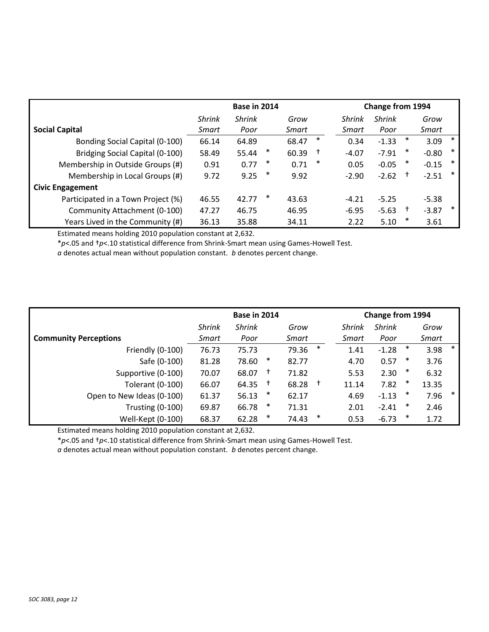|                                    | <b>Base in 2014</b> |               |        |       |        | <b>Change from 1994</b> |               |          |         |        |  |
|------------------------------------|---------------------|---------------|--------|-------|--------|-------------------------|---------------|----------|---------|--------|--|
|                                    | <b>Shrink</b>       | <b>Shrink</b> |        | Grow  |        | <b>Shrink</b>           | <b>Shrink</b> |          | Grow    |        |  |
| <b>Social Capital</b>              | Smart               | Poor          |        | Smart |        | Smart                   | Poor          |          | Smart   |        |  |
| Bonding Social Capital (0-100)     | 66.14               | 64.89         |        | 68.47 | $\ast$ | 0.34                    | $-1.33$       | ∗        | 3.09    | $\ast$ |  |
| Bridging Social Capital (0-100)    | 58.49               | 55.44         | ∗      | 60.39 | t      | $-4.07$                 | $-7.91$       | $\ast$   | $-0.80$ | $\ast$ |  |
| Membership in Outside Groups (#)   | 0.91                | 0.77          | $\ast$ | 0.71  | $\ast$ | 0.05                    | $-0.05$       | ∗        | $-0.15$ | ∗      |  |
| Membership in Local Groups (#)     | 9.72                | 9.25          | ∗      | 9.92  |        | $-2.90$                 | $-2.62$       | $^{+}$   | $-2.51$ | ∗      |  |
| <b>Civic Engagement</b>            |                     |               |        |       |        |                         |               |          |         |        |  |
| Participated in a Town Project (%) | 46.55               | 42.77         | ∗      | 43.63 |        | $-4.21$                 | $-5.25$       |          | $-5.38$ |        |  |
| Community Attachment (0-100)       | 47.27               | 46.75         |        | 46.95 |        | $-6.95$                 | $-5.63$       | <b>t</b> | $-3.87$ | ∗      |  |
| Years Lived in the Community (#)   | 36.13               | 35.88         |        | 34.11 |        | 2.22                    | 5.10          | ∗        | 3.61    |        |  |

Estimated means holding 2010 population constant at 2,632.

\**p*<.05 and †*p*<.10 statistical difference from Shrink-Smart mean using Games-Howell Test.

*a* denotes actual mean without population constant. *b* denotes percent change.

|                              | Base in 2014  |               |        |       |            | <b>Change from 1994</b> |               |        |       |        |
|------------------------------|---------------|---------------|--------|-------|------------|-------------------------|---------------|--------|-------|--------|
|                              | <b>Shrink</b> | <b>Shrink</b> |        | Grow  |            | <b>Shrink</b>           | <b>Shrink</b> |        | Grow  |        |
| <b>Community Perceptions</b> | Smart         | Poor          |        | Smart |            | Smart                   | Poor          |        | Smart |        |
| Friendly (0-100)             | 76.73         | 75.73         |        | 79.36 | $\ast$     | 1.41                    | $-1.28$       | $\ast$ | 3.98  | $\ast$ |
| Safe (0-100)                 | 81.28         | 78.60         | ∗      | 82.77 |            | 4.70                    | 0.57          | ∗      | 3.76  |        |
| Supportive (0-100)           | 70.07         | 68.07         | $^{+}$ | 71.82 |            | 5.53                    | 2.30          | ∗      | 6.32  |        |
| Tolerant (0-100)             | 66.07         | 64.35         | $^{+}$ | 68.28 | $\ddagger$ | 11.14                   | 7.82          | $\ast$ | 13.35 |        |
| Open to New Ideas (0-100)    | 61.37         | 56.13         | ∗      | 62.17 |            | 4.69                    | $-1.13$       | ∗      | 7.96  | $\ast$ |
| <b>Trusting (0-100)</b>      | 69.87         | 66.78         | $\ast$ | 71.31 |            | 2.01                    | $-2.41$       | $\ast$ | 2.46  |        |
| Well-Kept (0-100)            | 68.37         | 62.28         | $\ast$ | 74.43 | *          | 0.53                    | $-6.73$       | $\ast$ | 1.72  |        |

Estimated means holding 2010 population constant at 2,632.

\**p*<.05 and †*p*<.10 statistical difference from Shrink-Smart mean using Games-Howell Test.

*a* denotes actual mean without population constant. *b* denotes percent change.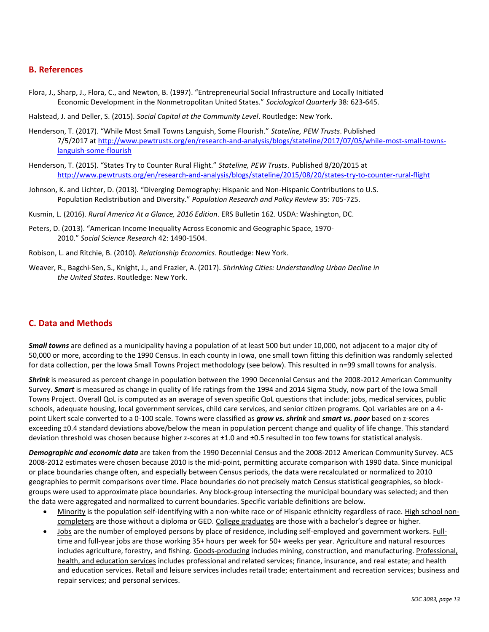# **B. References**

- Flora, J., Sharp, J., Flora, C., and Newton, B. (1997). "Entrepreneurial Social Infrastructure and Locally Initiated Economic Development in the Nonmetropolitan United States." *Sociological Quarterly* 38: 623-645.
- Halstead, J. and Deller, S. (2015). *Social Capital at the Community Level*. Routledge: New York.
- Henderson, T. (2017). "While Most Small Towns Languish, Some Flourish." *Stateline, PEW Trusts*. Published 7/5/2017 at [http://www.pewtrusts.org/en/research-and-analysis/blogs/stateline/2017/07/05/while-most-small-towns](http://www.pewtrusts.org/en/research-and-analysis/blogs/stateline/2017/07/05/while-most-small-towns-languish-some-flourish)[languish-some-flourish](http://www.pewtrusts.org/en/research-and-analysis/blogs/stateline/2017/07/05/while-most-small-towns-languish-some-flourish)
- Henderson, T. (2015). "States Try to Counter Rural Flight." *Stateline, PEW Trusts*. Published 8/20/2015 at <http://www.pewtrusts.org/en/research-and-analysis/blogs/stateline/2015/08/20/states-try-to-counter-rural-flight>
- Johnson, K. and Lichter, D. (2013). "Diverging Demography: Hispanic and Non-Hispanic Contributions to U.S. Population Redistribution and Diversity." *Population Research and Policy Review* 35: 705-725.
- Kusmin, L. (2016). *Rural America At a Glance, 2016 Edition*. ERS Bulletin 162. USDA: Washington, DC.
- Peters, D. (2013). "American Income Inequality Across Economic and Geographic Space, 1970- 2010." *Social Science Research* 42: 1490-1504.
- Robison, L. and Ritchie, B. (2010). *Relationship Economics*. Routledge: New York.
- Weaver, R., Bagchi-Sen, S., Knight, J., and Frazier, A. (2017). *Shrinking Cities: Understanding Urban Decline in the United States*. Routledge: New York.

# **C. Data and Methods**

*Small towns* are defined as a municipality having a population of at least 500 but under 10,000, not adjacent to a major city of 50,000 or more, according to the 1990 Census. In each county in Iowa, one small town fitting this definition was randomly selected for data collection, per the Iowa Small Towns Project methodology (see below). This resulted in n=99 small towns for analysis.

*Shrink* is measured as percent change in population between the 1990 Decennial Census and the 2008-2012 American Community Survey. *Smart* is measured as change in quality of life ratings from the 1994 and 2014 Sigma Study, now part of the Iowa Small Towns Project. Overall QoL is computed as an average of seven specific QoL questions that include: jobs, medical services, public schools, adequate housing, local government services, child care services, and senior citizen programs. QoL variables are on a 4 point Likert scale converted to a 0-100 scale. Towns were classified as *grow vs. shrink* and *smart vs. poor* based on z-scores exceeding ±0.4 standard deviations above/below the mean in population percent change and quality of life change. This standard deviation threshold was chosen because higher z-scores at ±1.0 and ±0.5 resulted in too few towns for statistical analysis.

*Demographic and economic data* are taken from the 1990 Decennial Census and the 2008-2012 American Community Survey. ACS 2008-2012 estimates were chosen because 2010 is the mid-point, permitting accurate comparison with 1990 data. Since municipal or place boundaries change often, and especially between Census periods, the data were recalculated or normalized to 2010 geographies to permit comparisons over time. Place boundaries do not precisely match Census statistical geographies, so blockgroups were used to approximate place boundaries. Any block-group intersecting the municipal boundary was selected; and then the data were aggregated and normalized to current boundaries. Specific variable definitions are below.

- Minority is the population self-identifying with a non-white race or of Hispanic ethnicity regardless of race. High school noncompleters are those without a diploma or GED. College graduates are those with a bachelor's degree or higher.
- Jobs are the number of employed persons by place of residence, including self-employed and government workers. Fulltime and full-year jobs are those working 35+ hours per week for 50+ weeks per year. Agriculture and natural resources includes agriculture, forestry, and fishing. Goods-producing includes mining, construction, and manufacturing. Professional, health, and education services includes professional and related services; finance, insurance, and real estate; and health and education services. Retail and leisure services includes retail trade; entertainment and recreation services; business and repair services; and personal services.